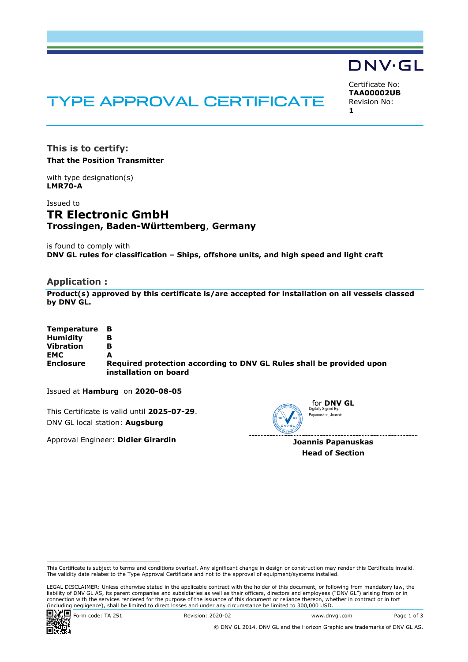# DNV·GL

# TYPE APPROVAL CERTIFICATE

Certificate No: **TAA00002UB** Revision No: **1** 

**This is to certify: That the Position Transmitter**

with type designation(s) **LMR70-A**

# Issued to **TR Electronic GmbH Trossingen, Baden-Württemberg**, **Germany**

is found to comply with **DNV GL rules for classification – Ships, offshore units, and high speed and light craft**

#### **Application :**

**Product(s) approved by this certificate is/are accepted for installation on all vessels classed by DNV GL.**

| Temperature B    |                                                                                               |
|------------------|-----------------------------------------------------------------------------------------------|
| <b>Humidity</b>  | в                                                                                             |
| <b>Vibration</b> | в                                                                                             |
| <b>EMC</b>       |                                                                                               |
| <b>Enclosure</b> | Required protection according to DNV GL Rules shall be provided upon<br>installation on board |

Issued at **Hamburg** on **2020-08-05**

This Certificate is valid until **2025-07-29**. DNV GL local station: **Augsburg**

Approval Engineer: **Didier Girardin**



**Joannis Papanuskas Head of Section**

 LEGAL DISCLAIMER: Unless otherwise stated in the applicable contract with the holder of this document, or following from mandatory law, the liability of DNV GL AS, its parent companies and subsidiaries as well as their officers, directors and employees ("DNV GL") arising from or in connection with the services rendered for the purpose of the issuance of this document or reliance thereon, whether in contract or in tort<br>(including negligence), shall be limited to direct losses and under any circumstanc



Form code: TA 251 Revision: 2020-02 www.dnvgl.com Page 1 of 3

This Certificate is subject to terms and conditions overleaf. Any significant change in design or construction may render this Certificate invalid. The validity date relates to the Type Approval Certificate and not to the approval of equipment/systems installed.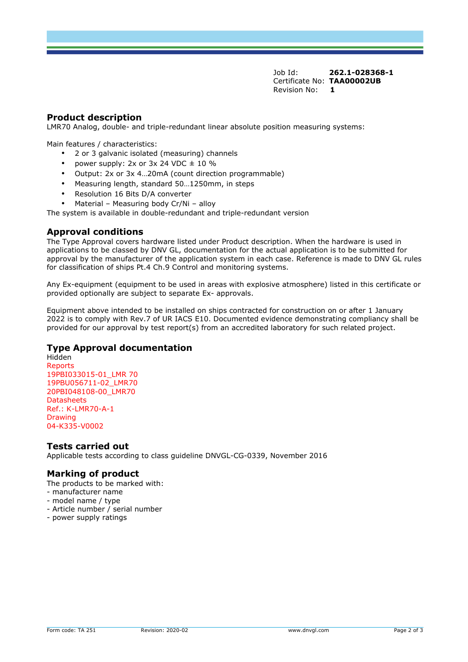Job Id: **262.1-028368-1** Certificate No: **TAA00002UB** Revision No: **1** 

# **Product description**

LMR70 Analog, double- and triple-redundant linear absolute position measuring systems:

Main features / characteristics:

- 2 or 3 galvanic isolated (measuring) channels
- power supply:  $2x$  or  $3x$  24 VDC  $\pm$  10 %
- Output: 2x or 3x 4…20mA (count direction programmable)
- Measuring length, standard 50…1250mm, in steps
- Resolution 16 Bits D/A converter
- Material Measuring body Cr/Ni alloy

The system is available in double-redundant and triple-redundant version

#### **Approval conditions**

The Type Approval covers hardware listed under Product description. When the hardware is used in applications to be classed by DNV GL, documentation for the actual application is to be submitted for approval by the manufacturer of the application system in each case. Reference is made to DNV GL rules for classification of ships Pt.4 Ch.9 Control and monitoring systems.

Any Ex-equipment (equipment to be used in areas with explosive atmosphere) listed in this certificate or provided optionally are subject to separate Ex- approvals.

Equipment above intended to be installed on ships contracted for construction on or after 1 January 2022 is to comply with Rev.7 of UR IACS E10. Documented evidence demonstrating compliancy shall be provided for our approval by test report(s) from an accredited laboratory for such related project.

# **Type Approval documentation**

Hidden Reports 19PBI033015-01\_LMR 70 19PBU056711-02\_LMR70 20PBI048108-00\_LMR70 Datasheets Ref.: K-LMR70-A-1 **Drawing** 04-K335-V0002

#### **Tests carried out**

Applicable tests according to class guideline DNVGL-CG-0339, November 2016

# **Marking of product**

The products to be marked with:

- manufacturer name
- model name / type
- Article number / serial number
- power supply ratings